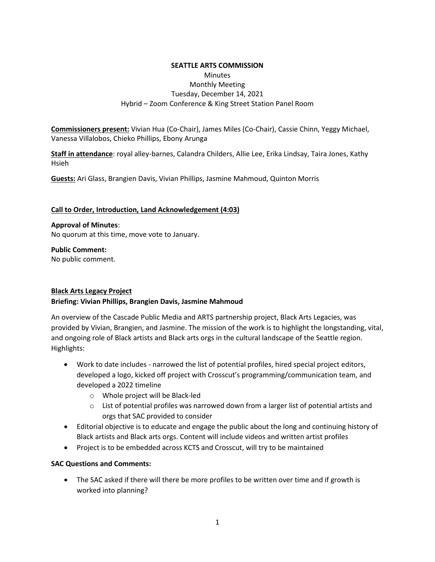### **SEATTLE ARTS COMMISSION**  Minutes Monthly Meeting Tuesday, December 14, 2021 Hybrid – Zoom Conference & King Street Station Panel Room

**Commissioners present:** Vivian Hua (Co-Chair), James Miles (Co-Chair), Cassie Chinn, Yeggy Michael, Vanessa Villalobos, Chieko Phillips, Ebony Arunga

**Staff in attendance**: royal alley-barnes, Calandra Childers, Allie Lee, Erika Lindsay, Taira Jones, Kathy Hsieh

**Guests:** Ari Glass, Brangien Davis, Vivian Phillips, Jasmine Mahmoud, Quinton Morris

#### **Call to Order, Introduction, Land Acknowledgement (4:03)**

**Approval of Minutes**: No quorum at this time, move vote to January.

**Public Comment:** No public comment.

### **Black Arts Legacy Project**

### **Briefing: Vivian Phillips, Brangien Davis, Jasmine Mahmoud**

An overview of the Cascade Public Media and ARTS partnership project, Black Arts Legacies, was provided by Vivian, Brangien, and Jasmine. The mission of the work is to highlight the longstanding, vital, and ongoing role of Black artists and Black arts orgs in the cultural landscape of the Seattle region. Highlights:

- Work to date includes narrowed the list of potential profiles, hired special project editors, developed a logo, kicked off project with Crosscut's programming/communication team, and developed a 2022 timeline
	- o Whole project will be Black-led
	- $\circ$  List of potential profiles was narrowed down from a larger list of potential artists and orgs that SAC provided to consider
- Editorial objective is to educate and engage the public about the long and continuing history of Black artists and Black arts orgs. Content will include videos and written artist profiles
- Project is to be embedded across KCTS and Crosscut, will try to be maintained

### **SAC Questions and Comments:**

• The SAC asked if there will there be more profiles to be written over time and if growth is worked into planning?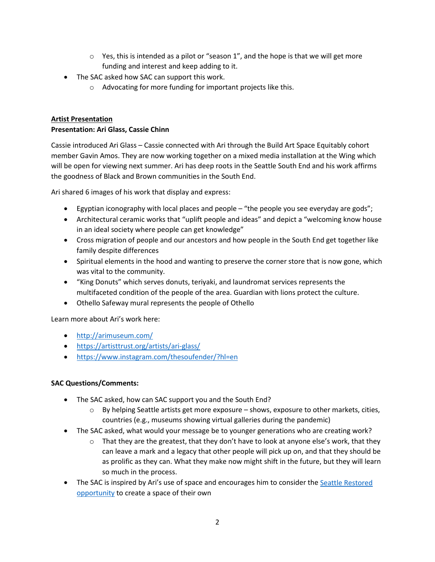- $\circ$  Yes, this is intended as a pilot or "season 1", and the hope is that we will get more funding and interest and keep adding to it.
- The SAC asked how SAC can support this work.
	- o Advocating for more funding for important projects like this.

# **Artist Presentation Presentation: Ari Glass, Cassie Chinn**

Cassie introduced Ari Glass – Cassie connected with Ari through the Build Art Space Equitably cohort member Gavin Amos. They are now working together on a mixed media installation at the Wing which will be open for viewing next summer. Ari has deep roots in the Seattle South End and his work affirms the goodness of Black and Brown communities in the South End.

Ari shared 6 images of his work that display and express:

- Egyptian iconography with local places and people "the people you see everyday are gods";
- Architectural ceramic works that "uplift people and ideas" and depict a "welcoming know house in an ideal society where people can get knowledge"
- Cross migration of people and our ancestors and how people in the South End get together like family despite differences
- Spiritual elements in the hood and wanting to preserve the corner store that is now gone, which was vital to the community.
- "King Donuts" which serves donuts, teriyaki, and laundromat services represents the multifaceted condition of the people of the area. Guardian with lions protect the culture.
- Othello Safeway mural represents the people of Othello

Learn more about Ari's work here:

- <http://arimuseum.com/>
- <https://artisttrust.org/artists/ari-glass/>
- <https://www.instagram.com/thesoufender/?hl=en>

## **SAC Questions/Comments:**

- The SAC asked, how can SAC support you and the South End?
	- $\circ$  By helping Seattle artists get more exposure shows, exposure to other markets, cities, countries (e.g., museums showing virtual galleries during the pandemic)
- The SAC asked, what would your message be to younger generations who are creating work?
	- $\circ$  That they are the greatest, that they don't have to look at anyone else's work, that they can leave a mark and a legacy that other people will pick up on, and that they should be as prolific as they can. What they make now might shift in the future, but they will learn so much in the process.
- The SAC is inspired by Ari's use of space and encourages him to consider the Seattle Restored [opportunity](https://shunpike.submittable.com/submit/210819/seattle-restored-application-for-art-exhibits-pop-up-shops) to create a space of their own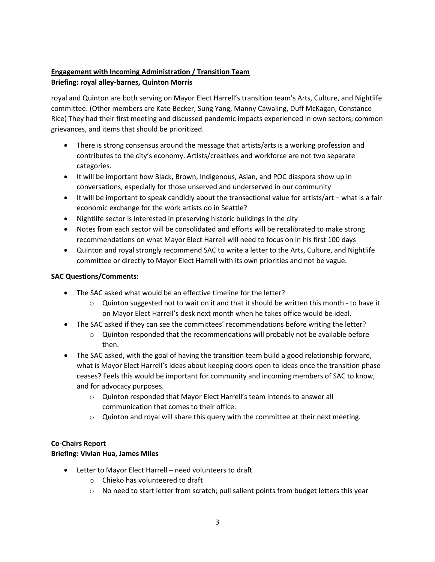# **Engagement with Incoming Administration / Transition Team Briefing: royal alley-barnes, Quinton Morris**

royal and Quinton are both serving on Mayor Elect Harrell's transition team's Arts, Culture, and Nightlife committee. (Other members are Kate Becker, Sung Yang, Manny Cawaling, Duff McKagan, Constance Rice) They had their first meeting and discussed pandemic impacts experienced in own sectors, common grievances, and items that should be prioritized.

- There is strong consensus around the message that artists/arts is a working profession and contributes to the city's economy. Artists/creatives and workforce are not two separate categories.
- It will be important how Black, Brown, Indigenous, Asian, and POC diaspora show up in conversations, especially for those unserved and underserved in our community
- It will be important to speak candidly about the transactional value for artists/art what is a fair economic exchange for the work artists do in Seattle?
- Nightlife sector is interested in preserving historic buildings in the city
- Notes from each sector will be consolidated and efforts will be recalibrated to make strong recommendations on what Mayor Elect Harrell will need to focus on in his first 100 days
- Quinton and royal strongly recommend SAC to write a letter to the Arts, Culture, and Nightlife committee or directly to Mayor Elect Harrell with its own priorities and not be vague.

## **SAC Questions/Comments:**

- The SAC asked what would be an effective timeline for the letter?
	- $\circ$  Quinton suggested not to wait on it and that it should be written this month to have it on Mayor Elect Harrell's desk next month when he takes office would be ideal.
- The SAC asked if they can see the committees' recommendations before writing the letter?
	- $\circ$  Quinton responded that the recommendations will probably not be available before then.
- The SAC asked, with the goal of having the transition team build a good relationship forward, what is Mayor Elect Harrell's ideas about keeping doors open to ideas once the transition phase ceases? Feels this would be important for community and incoming members of SAC to know, and for advocacy purposes.
	- o Quinton responded that Mayor Elect Harrell's team intends to answer all communication that comes to their office.
	- $\circ$  Quinton and royal will share this query with the committee at their next meeting.

## **Co-Chairs Report**

### **Briefing: Vivian Hua, James Miles**

- Letter to Mayor Elect Harrell need volunteers to draft
	- o Chieko has volunteered to draft
	- o No need to start letter from scratch; pull salient points from budget letters this year